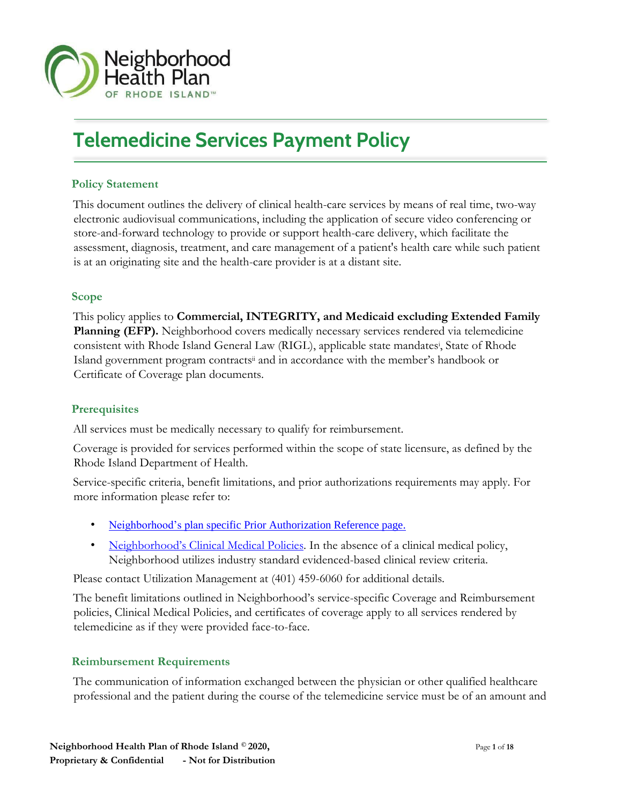

# **Telemedicine Services Payment Policy**

## **Policy Statement**

This document outlines the delivery of clinical health-care services by means of real time, two-way electronic audiovisual communications, including the application of secure video conferencing or store-and-forward technology to provide or support health-care delivery, which facilitate the assessment, diagnosis, treatment, and care management of a patient's health care while such patient is at an originating site and the health-care provider is at a distant site.

## **Scope**

 $\overline{a}$ 

 $\overline{a}$ 

This policy applies to **Commercial, INTEGRITY, and Medicaid excluding Extended Family Planning (EFP).** Neighborhood covers medically necessary services rendered via telemedicine consistent with Rhode Island General Law (RIGL), applicable state mandates<sup>i</sup> , State of Rhode Island government program contractsii and in accordance with the member's handbook or Certificate of Coverage plan documents.

#### **Prerequisites**

All services must be medically necessary to qualify for reimbursement.

Coverage is provided for services performed within the scope of state licensure, as defined by the Rhode Island Department of Health.

Service-specific criteria, benefit limitations, and prior authorizations requirements may apply. For more information please refer to:

- [Neighborhood's plan specific Prior Authorization Reference page.](https://www.nhpri.org/providers/policies-and-guidelines/prior-authorization-reference-guide/)
- [Neighborhood's Clinical Medical Policie](https://www.nhpri.org/providers/policies-and-guidelines/clinical-medical-policies/)[s.](https://www.nhpri.org/providers/policies-and-guidelines/clinical-medical-policies/) In the absence of a clinical medical policy, Neighborhood utilizes industry standard evidenced-based clinical review criteria.

Please contact Utilization Management at (401) 459-6060 for additional details.

The benefit limitations outlined in Neighborhood's service-specific Coverage and Reimbursement policies, Clinical Medical Policies, and certificates of coverage apply to all services rendered by telemedicine as if they were provided face-to-face.

#### **Reimbursement Requirements**

The communication of information exchanged between the physician or other qualified healthcare professional and the patient during the course of the telemedicine service must be of an amount and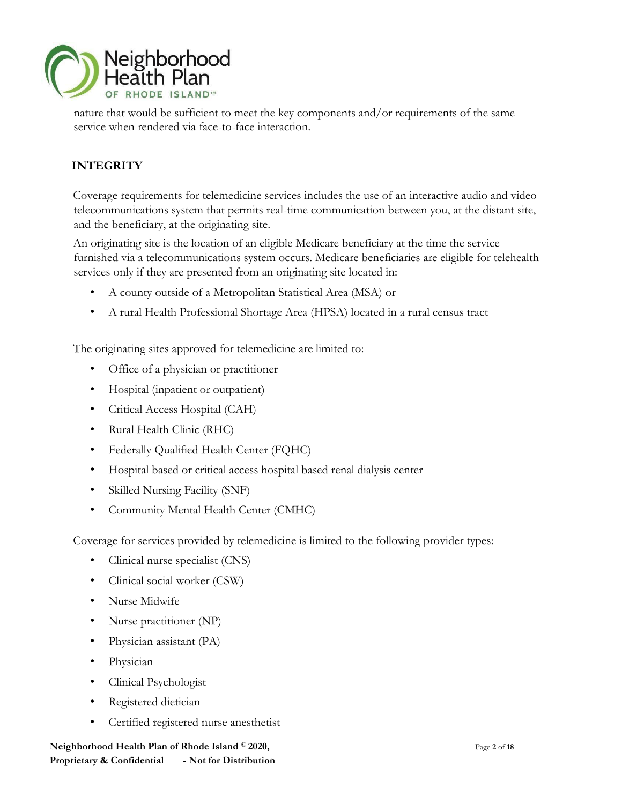

nature that would be sufficient to meet the key components and/or requirements of the same service when rendered via face-to-face interaction.

# **INTEGRITY**

Coverage requirements for telemedicine services includes the use of an interactive audio and video telecommunications system that permits real-time communication between you, at the distant site, and the beneficiary, at the originating site.

An originating site is the location of an eligible Medicare beneficiary at the time the service furnished via a telecommunications system occurs. Medicare beneficiaries are eligible for telehealth services only if they are presented from an originating site located in:

- A county outside of a Metropolitan Statistical Area (MSA) or
- A rural Health Professional Shortage Area (HPSA) located in a rural census tract

The originating sites approved for telemedicine are limited to:

- Office of a physician or practitioner
- Hospital (inpatient or outpatient)
- Critical Access Hospital (CAH)
- Rural Health Clinic (RHC)
- Federally Qualified Health Center (FQHC)
- Hospital based or critical access hospital based renal dialysis center
- Skilled Nursing Facility (SNF)
- Community Mental Health Center (CMHC)

Coverage for services provided by telemedicine is limited to the following provider types:

- Clinical nurse specialist (CNS)
- Clinical social worker (CSW)
- Nurse Midwife
- Nurse practitioner (NP)
- Physician assistant (PA)
- Physician
- Clinical Psychologist
- Registered dietician
- Certified registered nurse anesthetist

**Neighborhood Health Plan of Rhode Island © 2020,**  $P_{\text{age 2 of 18}}$ **Proprietary & Confidential - Not for Distribution**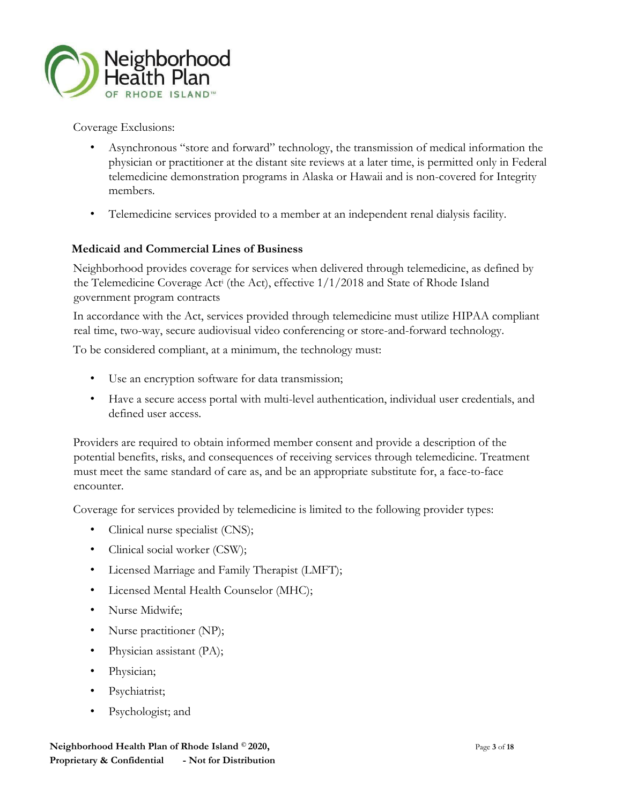

Coverage Exclusions:

- Asynchronous "store and forward" technology, the transmission of medical information the physician or practitioner at the distant site reviews at a later time, is permitted only in Federal telemedicine demonstration programs in Alaska or Hawaii and is non-covered for Integrity members.
- Telemedicine services provided to a member at an independent renal dialysis facility.

## **Medicaid and Commercial Lines of Business**

Neighborhood provides coverage for services when delivered through telemedicine, as defined by the Telemedicine Coverage Act<sup>i</sup> (the Act), effective 1/1/2018 and State of Rhode Island government program contracts

In accordance with the Act, services provided through telemedicine must utilize HIPAA compliant real time, two-way, secure audiovisual video conferencing or store-and-forward technology.

To be considered compliant, at a minimum, the technology must:

- Use an encryption software for data transmission;
- Have a secure access portal with multi-level authentication, individual user credentials, and defined user access.

Providers are required to obtain informed member consent and provide a description of the potential benefits, risks, and consequences of receiving services through telemedicine. Treatment must meet the same standard of care as, and be an appropriate substitute for, a face-to-face encounter.

Coverage for services provided by telemedicine is limited to the following provider types:

- Clinical nurse specialist (CNS);
- Clinical social worker (CSW);
- Licensed Marriage and Family Therapist (LMFT);
- Licensed Mental Health Counselor (MHC);
- Nurse Midwife;
- Nurse practitioner (NP);
- Physician assistant (PA);
- Physician;
- Psychiatrist;
- Psychologist; and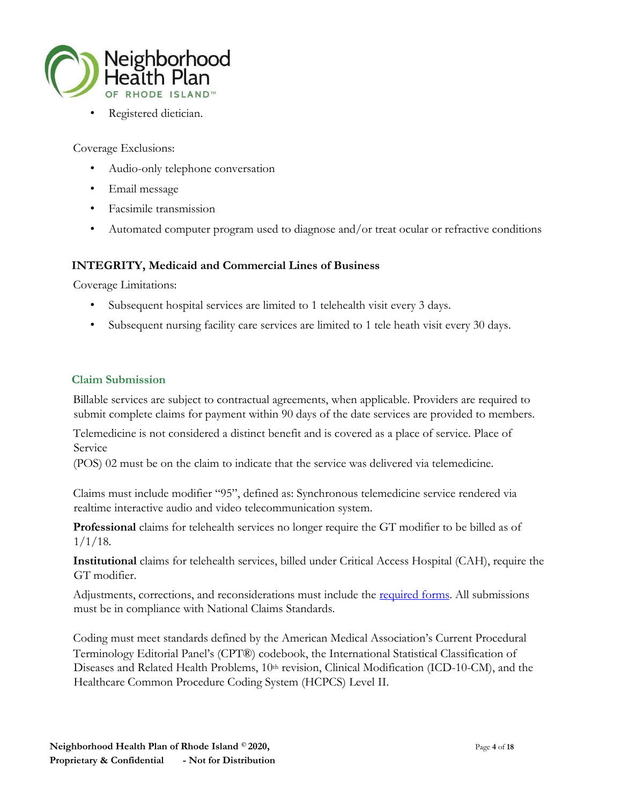

Registered dietician.

Coverage Exclusions:

- Audio-only telephone conversation
- Email message
- Facsimile transmission
- Automated computer program used to diagnose and/or treat ocular or refractive conditions

#### **INTEGRITY, Medicaid and Commercial Lines of Business**

Coverage Limitations:

- Subsequent hospital services are limited to 1 telehealth visit every 3 days.
- Subsequent nursing facility care services are limited to 1 tele heath visit every 30 days.

#### **Claim Submission**

Billable services are subject to contractual agreements, when applicable. Providers are required to submit complete claims for payment within 90 days of the date services are provided to members.

Telemedicine is not considered a distinct benefit and is covered as a place of service. Place of Service

(POS) 02 must be on the claim to indicate that the service was delivered via telemedicine.

Claims must include modifier "95", defined as: Synchronous telemedicine service rendered via realtime interactive audio and video telecommunication system.

**Professional** claims for telehealth services no longer require the GT modifier to be billed as of  $1/1/18$ .

**Institutional** claims for telehealth services, billed under Critical Access Hospital (CAH), require the GT modifier.

Adjustments, corrections, and reconsiderations must include the <u>required forms</u>. All submissions must be in compliance with National Claims Standards.

Coding must meet standards defined by the American Medical Association's Current Procedural Terminology Editorial Panel's (CPT®) codebook, the International Statistical Classification of Diseases and Related Health Problems, 10<sup>th</sup> revision, Clinical Modification (ICD-10-CM), and the Healthcare Common Procedure Coding System (HCPCS) Level II.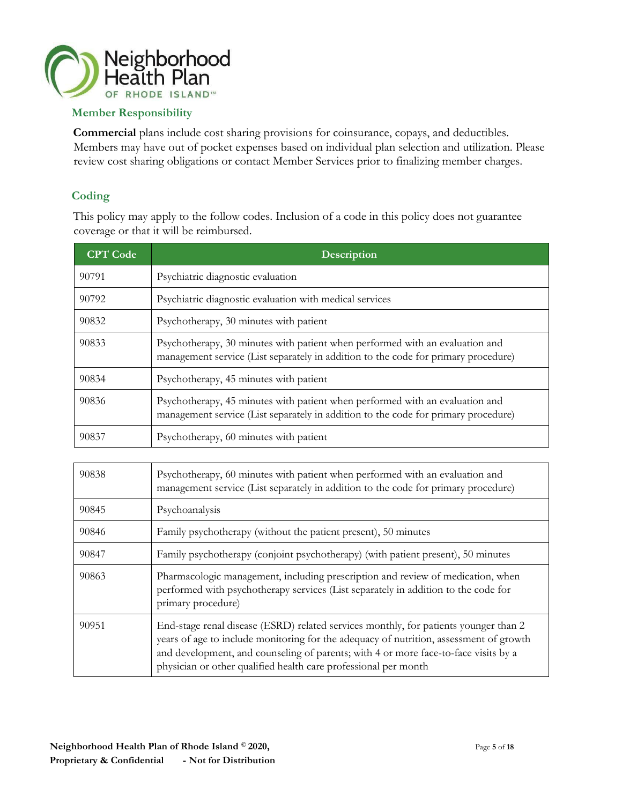

## **Member Responsibility**

**Commercial** plans include cost sharing provisions for coinsurance, copays, and deductibles. Members may have out of pocket expenses based on individual plan selection and utilization. Please review cost sharing obligations or contact Member Services prior to finalizing member charges.

## **Coding**

This policy may apply to the follow codes. Inclusion of a code in this policy does not guarantee coverage or that it will be reimbursed.

| <b>CPT</b> Code | <b>Description</b>                                                                                                                                                 |
|-----------------|--------------------------------------------------------------------------------------------------------------------------------------------------------------------|
| 90791           | Psychiatric diagnostic evaluation                                                                                                                                  |
| 90792           | Psychiatric diagnostic evaluation with medical services                                                                                                            |
| 90832           | Psychotherapy, 30 minutes with patient                                                                                                                             |
| 90833           | Psychotherapy, 30 minutes with patient when performed with an evaluation and<br>management service (List separately in addition to the code for primary procedure) |
| 90834           | Psychotherapy, 45 minutes with patient                                                                                                                             |
| 90836           | Psychotherapy, 45 minutes with patient when performed with an evaluation and<br>management service (List separately in addition to the code for primary procedure) |
| 90837           | Psychotherapy, 60 minutes with patient                                                                                                                             |

| 90838 | Psychotherapy, 60 minutes with patient when performed with an evaluation and<br>management service (List separately in addition to the code for primary procedure)                                                                                                                                                                       |
|-------|------------------------------------------------------------------------------------------------------------------------------------------------------------------------------------------------------------------------------------------------------------------------------------------------------------------------------------------|
| 90845 | Psychoanalysis                                                                                                                                                                                                                                                                                                                           |
| 90846 | Family psychotherapy (without the patient present), 50 minutes                                                                                                                                                                                                                                                                           |
| 90847 | Family psychotherapy (conjoint psychotherapy) (with patient present), 50 minutes                                                                                                                                                                                                                                                         |
| 90863 | Pharmacologic management, including prescription and review of medication, when<br>performed with psychotherapy services (List separately in addition to the code for<br>primary procedure)                                                                                                                                              |
| 90951 | End-stage renal disease (ESRD) related services monthly, for patients younger than 2<br>years of age to include monitoring for the adequacy of nutrition, assessment of growth<br>and development, and counseling of parents; with 4 or more face-to-face visits by a<br>physician or other qualified health care professional per month |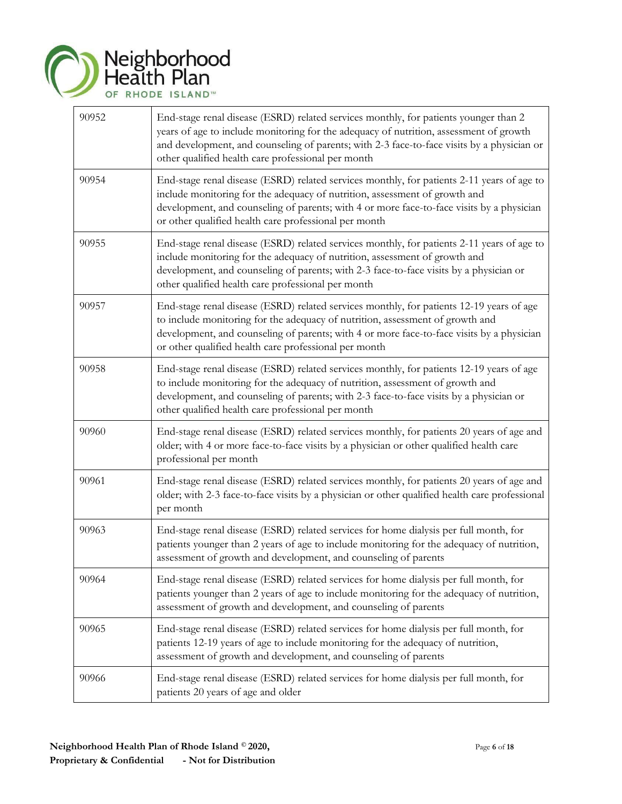

| 90952 | End-stage renal disease (ESRD) related services monthly, for patients younger than 2<br>years of age to include monitoring for the adequacy of nutrition, assessment of growth<br>and development, and counseling of parents; with 2-3 face-to-face visits by a physician or<br>other qualified health care professional per month |
|-------|------------------------------------------------------------------------------------------------------------------------------------------------------------------------------------------------------------------------------------------------------------------------------------------------------------------------------------|
| 90954 | End-stage renal disease (ESRD) related services monthly, for patients 2-11 years of age to<br>include monitoring for the adequacy of nutrition, assessment of growth and<br>development, and counseling of parents; with 4 or more face-to-face visits by a physician<br>or other qualified health care professional per month     |
| 90955 | End-stage renal disease (ESRD) related services monthly, for patients 2-11 years of age to<br>include monitoring for the adequacy of nutrition, assessment of growth and<br>development, and counseling of parents; with 2-3 face-to-face visits by a physician or<br>other qualified health care professional per month           |
| 90957 | End-stage renal disease (ESRD) related services monthly, for patients 12-19 years of age<br>to include monitoring for the adequacy of nutrition, assessment of growth and<br>development, and counseling of parents; with 4 or more face-to-face visits by a physician<br>or other qualified health care professional per month    |
| 90958 | End-stage renal disease (ESRD) related services monthly, for patients 12-19 years of age<br>to include monitoring for the adequacy of nutrition, assessment of growth and<br>development, and counseling of parents; with 2-3 face-to-face visits by a physician or<br>other qualified health care professional per month          |
| 90960 | End-stage renal disease (ESRD) related services monthly, for patients 20 years of age and<br>older; with 4 or more face-to-face visits by a physician or other qualified health care<br>professional per month                                                                                                                     |
| 90961 | End-stage renal disease (ESRD) related services monthly, for patients 20 years of age and<br>older; with 2-3 face-to-face visits by a physician or other qualified health care professional<br>per month                                                                                                                           |
| 90963 | End-stage renal disease (ESRD) related services for home dialysis per full month, for<br>patients younger than 2 years of age to include monitoring for the adequacy of nutrition,<br>assessment of growth and development, and counseling of parents                                                                              |
| 90964 | End-stage renal disease (ESRD) related services for home dialysis per full month, for<br>patients younger than 2 years of age to include monitoring for the adequacy of nutrition,<br>assessment of growth and development, and counseling of parents                                                                              |
| 90965 | End-stage renal disease (ESRD) related services for home dialysis per full month, for<br>patients 12-19 years of age to include monitoring for the adequacy of nutrition,<br>assessment of growth and development, and counseling of parents                                                                                       |
| 90966 | End-stage renal disease (ESRD) related services for home dialysis per full month, for<br>patients 20 years of age and older                                                                                                                                                                                                        |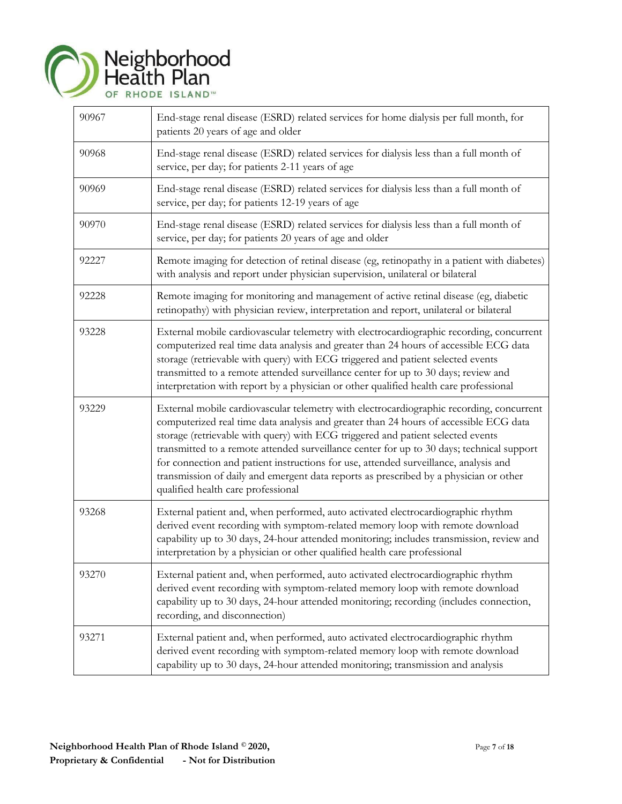

| 90967 | End-stage renal disease (ESRD) related services for home dialysis per full month, for<br>patients 20 years of age and older                                                                                                                                                                                                                                                                                                                                                                                                                                                              |
|-------|------------------------------------------------------------------------------------------------------------------------------------------------------------------------------------------------------------------------------------------------------------------------------------------------------------------------------------------------------------------------------------------------------------------------------------------------------------------------------------------------------------------------------------------------------------------------------------------|
| 90968 | End-stage renal disease (ESRD) related services for dialysis less than a full month of<br>service, per day; for patients 2-11 years of age                                                                                                                                                                                                                                                                                                                                                                                                                                               |
| 90969 | End-stage renal disease (ESRD) related services for dialysis less than a full month of<br>service, per day; for patients 12-19 years of age                                                                                                                                                                                                                                                                                                                                                                                                                                              |
| 90970 | End-stage renal disease (ESRD) related services for dialysis less than a full month of<br>service, per day; for patients 20 years of age and older                                                                                                                                                                                                                                                                                                                                                                                                                                       |
| 92227 | Remote imaging for detection of retinal disease (eg, retinopathy in a patient with diabetes)<br>with analysis and report under physician supervision, unilateral or bilateral                                                                                                                                                                                                                                                                                                                                                                                                            |
| 92228 | Remote imaging for monitoring and management of active retinal disease (eg, diabetic<br>retinopathy) with physician review, interpretation and report, unilateral or bilateral                                                                                                                                                                                                                                                                                                                                                                                                           |
| 93228 | External mobile cardiovascular telemetry with electrocardiographic recording, concurrent<br>computerized real time data analysis and greater than 24 hours of accessible ECG data<br>storage (retrievable with query) with ECG triggered and patient selected events<br>transmitted to a remote attended surveillance center for up to 30 days; review and<br>interpretation with report by a physician or other qualified health care professional                                                                                                                                      |
| 93229 | External mobile cardiovascular telemetry with electrocardiographic recording, concurrent<br>computerized real time data analysis and greater than 24 hours of accessible ECG data<br>storage (retrievable with query) with ECG triggered and patient selected events<br>transmitted to a remote attended surveillance center for up to 30 days; technical support<br>for connection and patient instructions for use, attended surveillance, analysis and<br>transmission of daily and emergent data reports as prescribed by a physician or other<br>qualified health care professional |
| 93268 | External patient and, when performed, auto activated electrocardiographic rhythm<br>derived event recording with symptom-related memory loop with remote download<br>capability up to 30 days, 24-hour attended monitoring; includes transmission, review and<br>interpretation by a physician or other qualified health care professional                                                                                                                                                                                                                                               |
| 93270 | External patient and, when performed, auto activated electrocardiographic rhythm<br>derived event recording with symptom-related memory loop with remote download<br>capability up to 30 days, 24-hour attended monitoring; recording (includes connection,<br>recording, and disconnection)                                                                                                                                                                                                                                                                                             |
| 93271 | External patient and, when performed, auto activated electrocardiographic rhythm<br>derived event recording with symptom-related memory loop with remote download<br>capability up to 30 days, 24-hour attended monitoring; transmission and analysis                                                                                                                                                                                                                                                                                                                                    |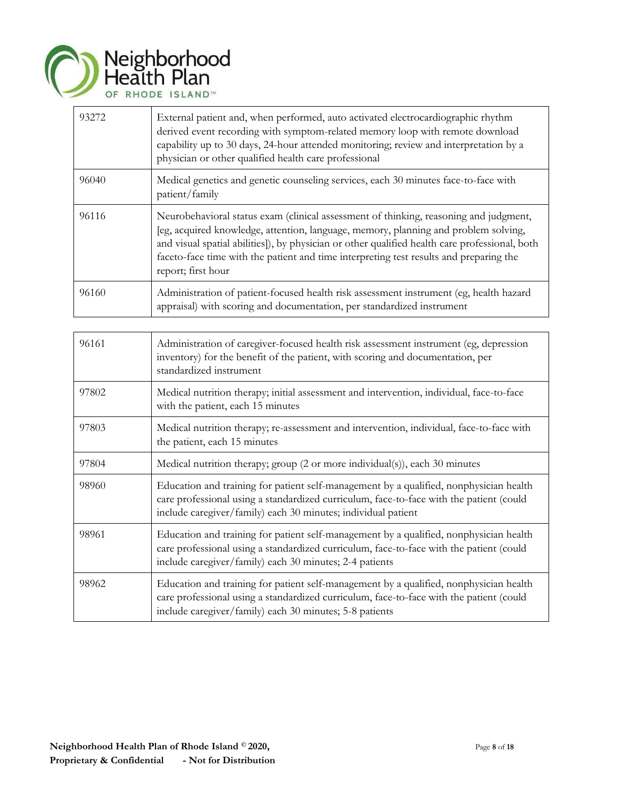

| 93272 | External patient and, when performed, auto activated electrocardiographic rhythm<br>derived event recording with symptom-related memory loop with remote download<br>capability up to 30 days, 24-hour attended monitoring; review and interpretation by a<br>physician or other qualified health care professional                                                                            |
|-------|------------------------------------------------------------------------------------------------------------------------------------------------------------------------------------------------------------------------------------------------------------------------------------------------------------------------------------------------------------------------------------------------|
| 96040 | Medical genetics and genetic counseling services, each 30 minutes face-to-face with<br>patient/family                                                                                                                                                                                                                                                                                          |
| 96116 | Neurobehavioral status exam (clinical assessment of thinking, reasoning and judgment,<br>[eg, acquired knowledge, attention, language, memory, planning and problem solving,<br>and visual spatial abilities]), by physician or other qualified health care professional, both<br>faceto-face time with the patient and time interpreting test results and preparing the<br>report; first hour |
| 96160 | Administration of patient-focused health risk assessment instrument (eg, health hazard<br>appraisal) with scoring and documentation, per standardized instrument                                                                                                                                                                                                                               |

| 96161 | Administration of caregiver-focused health risk assessment instrument (eg, depression<br>inventory) for the benefit of the patient, with scoring and documentation, per<br>standardized instrument                                                 |
|-------|----------------------------------------------------------------------------------------------------------------------------------------------------------------------------------------------------------------------------------------------------|
| 97802 | Medical nutrition therapy; initial assessment and intervention, individual, face-to-face<br>with the patient, each 15 minutes                                                                                                                      |
| 97803 | Medical nutrition therapy; re-assessment and intervention, individual, face-to-face with<br>the patient, each 15 minutes                                                                                                                           |
| 97804 | Medical nutrition therapy; group (2 or more individual(s)), each 30 minutes                                                                                                                                                                        |
| 98960 | Education and training for patient self-management by a qualified, nonphysician health<br>care professional using a standardized curriculum, face-to-face with the patient (could<br>include caregiver/family) each 30 minutes; individual patient |
| 98961 | Education and training for patient self-management by a qualified, nonphysician health<br>care professional using a standardized curriculum, face-to-face with the patient (could<br>include caregiver/family) each 30 minutes; 2-4 patients       |
| 98962 | Education and training for patient self-management by a qualified, nonphysician health<br>care professional using a standardized curriculum, face-to-face with the patient (could<br>include caregiver/family) each 30 minutes; 5-8 patients       |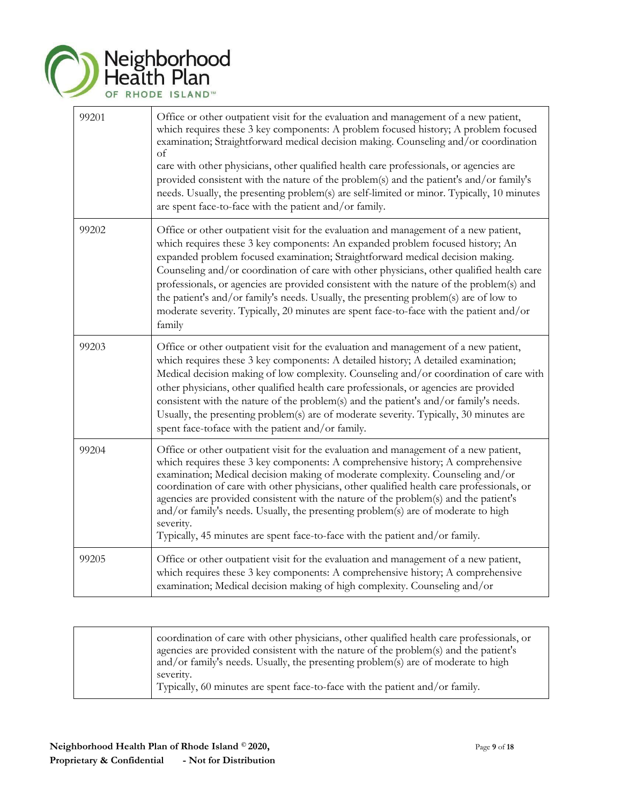|       | Neighborhood<br>Health Plan<br>OF RHODE ISLAND™                                                                                                                                                                                                                                                                                                                                                                                                                                                                                                                                                                                                 |
|-------|-------------------------------------------------------------------------------------------------------------------------------------------------------------------------------------------------------------------------------------------------------------------------------------------------------------------------------------------------------------------------------------------------------------------------------------------------------------------------------------------------------------------------------------------------------------------------------------------------------------------------------------------------|
| 99201 | Office or other outpatient visit for the evaluation and management of a new patient,<br>which requires these 3 key components: A problem focused history; A problem focused<br>examination; Straightforward medical decision making. Counseling and/or coordination<br>of<br>care with other physicians, other qualified health care professionals, or agencies are<br>provided consistent with the nature of the problem(s) and the patient's and/or family's<br>needs. Usually, the presenting problem(s) are self-limited or minor. Typically, 10 minutes<br>are spent face-to-face with the patient and/or family.                          |
| 99202 | Office or other outpatient visit for the evaluation and management of a new patient,<br>which requires these 3 key components: An expanded problem focused history; An<br>expanded problem focused examination; Straightforward medical decision making.<br>Counseling and/or coordination of care with other physicians, other qualified health care<br>professionals, or agencies are provided consistent with the nature of the problem(s) and<br>the patient's and/or family's needs. Usually, the presenting problem(s) are of low to<br>moderate severity. Typically, 20 minutes are spent face-to-face with the patient and/or<br>family |
| 99203 | Office or other outpatient visit for the evaluation and management of a new patient,<br>which requires these 3 key components: A detailed history; A detailed examination;<br>Medical decision making of low complexity. Counseling and/or coordination of care with<br>other physicians, other qualified health care professionals, or agencies are provided<br>consistent with the nature of the problem(s) and the patient's and/or family's needs.<br>Usually, the presenting problem(s) are of moderate severity. Typically, 30 minutes are<br>spent face-toface with the patient and/or family.                                           |
| 99204 | Office or other outpatient visit for the evaluation and management of a new patient,<br>which requires these 3 key components: A comprehensive history; A comprehensive<br>examination; Medical decision making of moderate complexity. Counseling and/or<br>coordination of care with other physicians, other qualified health care professionals, or<br>agencies are provided consistent with the nature of the problem(s) and the patient's<br>and/or family's needs. Usually, the presenting problem(s) are of moderate to high<br>severity.<br>Typically, 45 minutes are spent face-to-face with the patient and/or family.                |
| 99205 | Office or other outpatient visit for the evaluation and management of a new patient,<br>which requires these 3 key components: A comprehensive history; A comprehensive<br>examination; Medical decision making of high complexity. Counseling and/or                                                                                                                                                                                                                                                                                                                                                                                           |

|  | coordination of care with other physicians, other qualified health care professionals, or<br>agencies are provided consistent with the nature of the problem(s) and the patient's<br>and/or family's needs. Usually, the presenting problem(s) are of moderate to high<br>severity.<br>Typically, 60 minutes are spent face-to-face with the patient and/or family. |
|--|---------------------------------------------------------------------------------------------------------------------------------------------------------------------------------------------------------------------------------------------------------------------------------------------------------------------------------------------------------------------|
|--|---------------------------------------------------------------------------------------------------------------------------------------------------------------------------------------------------------------------------------------------------------------------------------------------------------------------------------------------------------------------|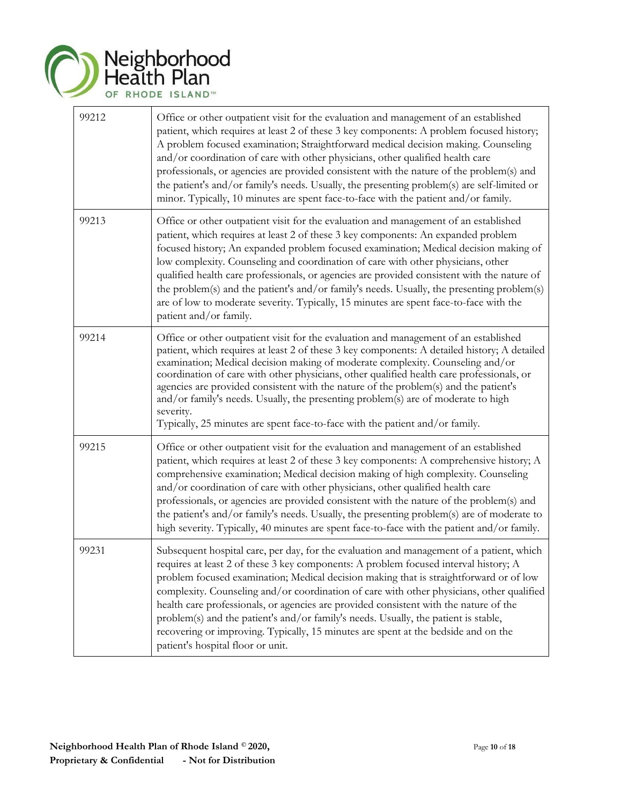

| 99212 | Office or other outpatient visit for the evaluation and management of an established<br>patient, which requires at least 2 of these 3 key components: A problem focused history;<br>A problem focused examination; Straightforward medical decision making. Counseling<br>and/or coordination of care with other physicians, other qualified health care<br>professionals, or agencies are provided consistent with the nature of the problem(s) and<br>the patient's and/or family's needs. Usually, the presenting problem(s) are self-limited or<br>minor. Typically, 10 minutes are spent face-to-face with the patient and/or family.                                         |
|-------|------------------------------------------------------------------------------------------------------------------------------------------------------------------------------------------------------------------------------------------------------------------------------------------------------------------------------------------------------------------------------------------------------------------------------------------------------------------------------------------------------------------------------------------------------------------------------------------------------------------------------------------------------------------------------------|
| 99213 | Office or other outpatient visit for the evaluation and management of an established<br>patient, which requires at least 2 of these 3 key components: An expanded problem<br>focused history; An expanded problem focused examination; Medical decision making of<br>low complexity. Counseling and coordination of care with other physicians, other<br>qualified health care professionals, or agencies are provided consistent with the nature of<br>the problem(s) and the patient's and/or family's needs. Usually, the presenting problem(s)<br>are of low to moderate seventy. Typically, 15 minutes are spent face-to-face with the<br>patient and/or family.              |
| 99214 | Office or other outpatient visit for the evaluation and management of an established<br>patient, which requires at least 2 of these 3 key components: A detailed history; A detailed<br>examination; Medical decision making of moderate complexity. Counseling and/or<br>coordination of care with other physicians, other qualified health care professionals, or<br>agencies are provided consistent with the nature of the problem(s) and the patient's<br>and/or family's needs. Usually, the presenting problem(s) are of moderate to high<br>severity.<br>Typically, 25 minutes are spent face-to-face with the patient and/or family.                                      |
| 99215 | Office or other outpatient visit for the evaluation and management of an established<br>patient, which requires at least 2 of these 3 key components: A comprehensive history; A<br>comprehensive examination; Medical decision making of high complexity. Counseling<br>and/or coordination of care with other physicians, other qualified health care<br>professionals, or agencies are provided consistent with the nature of the problem(s) and<br>the patient's and/or family's needs. Usually, the presenting problem(s) are of moderate to<br>high severity. Typically, 40 minutes are spent face-to-face with the patient and/or family.                                   |
| 99231 | Subsequent hospital care, per day, for the evaluation and management of a patient, which<br>requires at least 2 of these 3 key components: A problem focused interval history; A<br>problem focused examination; Medical decision making that is straightforward or of low<br>complexity. Counseling and/or coordination of care with other physicians, other qualified<br>health care professionals, or agencies are provided consistent with the nature of the<br>problem(s) and the patient's and/or family's needs. Usually, the patient is stable,<br>recovering or improving. Typically, 15 minutes are spent at the bedside and on the<br>patient's hospital floor or unit. |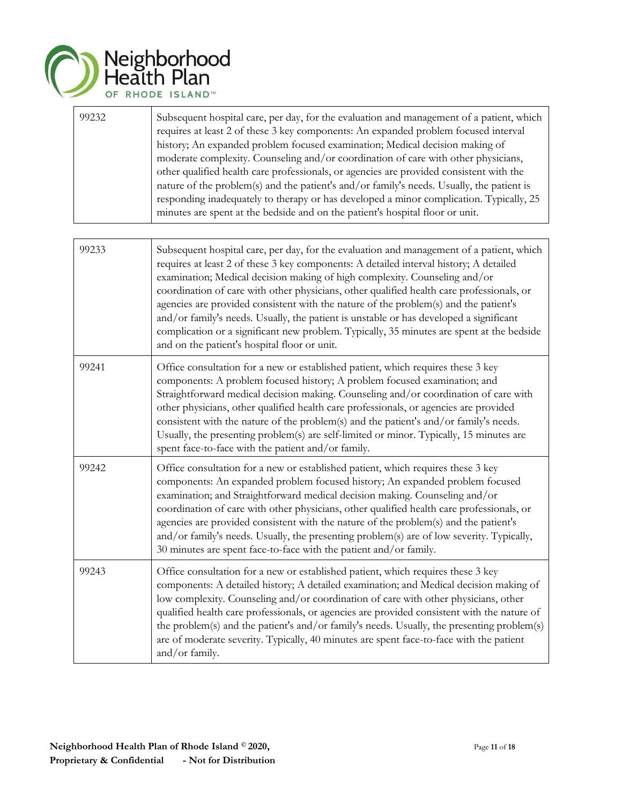

| 99232 | Subsequent hospital care, per day, for the evaluation and management of a patient, which<br>requires at least 2 of these 3 key components: An expanded problem focused interval<br>history; An expanded problem focused examination; Medical decision making of       |
|-------|-----------------------------------------------------------------------------------------------------------------------------------------------------------------------------------------------------------------------------------------------------------------------|
|       | moderate complexity. Counseling and/or coordination of care with other physicians,<br>other qualified health care professionals, or agencies are provided consistent with the                                                                                         |
|       | nature of the problem(s) and the patient's and/or family's needs. Usually, the patient is<br>responding inadequately to therapy or has developed a minor complication. Typically, 25<br>minutes are spent at the bedside and on the patient's hospital floor or unit. |

| 99233 | Subsequent hospital care, per day, for the evaluation and management of a patient, which<br>requires at least 2 of these 3 key components: A detailed interval history; A detailed<br>examination; Medical decision making of high complexity. Counseling and/or<br>coordination of care with other physicians, other qualified health care professionals, or<br>agencies are provided consistent with the nature of the problem(s) and the patient's<br>and/or family's needs. Usually, the patient is unstable or has developed a significant<br>complication or a significant new problem. Typically, 35 minutes are spent at the bedside<br>and on the patient's hospital floor or unit. |
|-------|----------------------------------------------------------------------------------------------------------------------------------------------------------------------------------------------------------------------------------------------------------------------------------------------------------------------------------------------------------------------------------------------------------------------------------------------------------------------------------------------------------------------------------------------------------------------------------------------------------------------------------------------------------------------------------------------|
| 99241 | Office consultation for a new or established patient, which requires these 3 key<br>components: A problem focused history; A problem focused examination; and<br>Straightforward medical decision making. Counseling and/or coordination of care with<br>other physicians, other qualified health care professionals, or agencies are provided<br>consistent with the nature of the problem(s) and the patient's and/or family's needs.<br>Usually, the presenting problem(s) are self-limited or minor. Typically, 15 minutes are<br>spent face-to-face with the patient and/or family.                                                                                                     |
| 99242 | Office consultation for a new or established patient, which requires these 3 key<br>components: An expanded problem focused history; An expanded problem focused<br>examination; and Straightforward medical decision making. Counseling and/or<br>coordination of care with other physicians, other qualified health care professionals, or<br>agencies are provided consistent with the nature of the problem(s) and the patient's<br>and/or family's needs. Usually, the presenting problem(s) are of low severity. Typically,<br>30 minutes are spent face-to-face with the patient and/or family.                                                                                       |
| 99243 | Office consultation for a new or established patient, which requires these 3 key<br>components: A detailed history; A detailed examination; and Medical decision making of<br>low complexity. Counseling and/or coordination of care with other physicians, other<br>qualified health care professionals, or agencies are provided consistent with the nature of<br>the problem(s) and the patient's and/or family's needs. Usually, the presenting problem(s)<br>are of moderate severity. Typically, 40 minutes are spent face-to-face with the patient<br>and/or family.                                                                                                                  |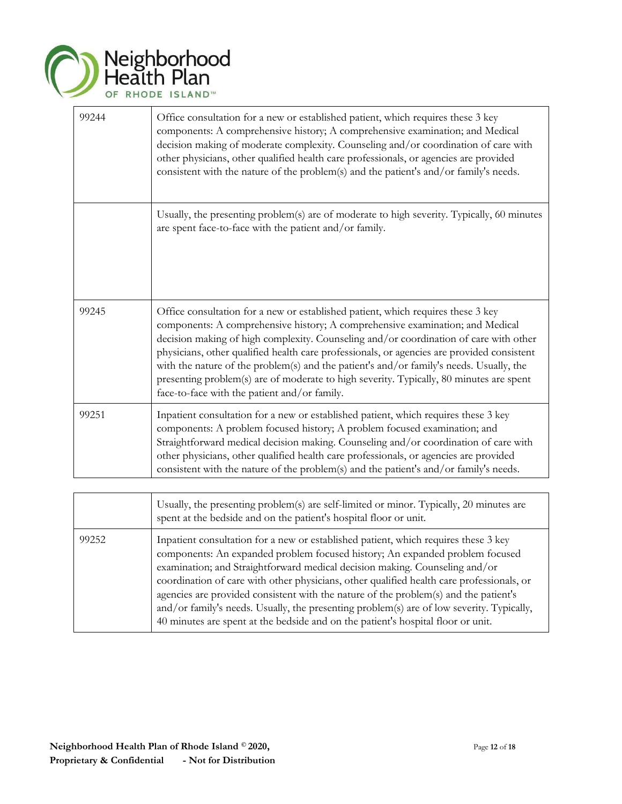

| 99244 | Office consultation for a new or established patient, which requires these 3 key<br>components: A comprehensive history; A comprehensive examination; and Medical<br>decision making of moderate complexity. Counseling and/or coordination of care with<br>other physicians, other qualified health care professionals, or agencies are provided<br>consistent with the nature of the problem(s) and the patient's and/or family's needs.                                                                                                                                                     |
|-------|------------------------------------------------------------------------------------------------------------------------------------------------------------------------------------------------------------------------------------------------------------------------------------------------------------------------------------------------------------------------------------------------------------------------------------------------------------------------------------------------------------------------------------------------------------------------------------------------|
|       | Usually, the presenting problem(s) are of moderate to high severity. Typically, 60 minutes<br>are spent face-to-face with the patient and/or family.                                                                                                                                                                                                                                                                                                                                                                                                                                           |
| 99245 | Office consultation for a new or established patient, which requires these 3 key<br>components: A comprehensive history; A comprehensive examination; and Medical<br>decision making of high complexity. Counseling and/or coordination of care with other<br>physicians, other qualified health care professionals, or agencies are provided consistent<br>with the nature of the problem(s) and the patient's and/or family's needs. Usually, the<br>presenting problem(s) are of moderate to high severity. Typically, 80 minutes are spent<br>face-to-face with the patient and/or family. |
| 99251 | Inpatient consultation for a new or established patient, which requires these 3 key<br>components: A problem focused history; A problem focused examination; and<br>Straightforward medical decision making. Counseling and/or coordination of care with<br>other physicians, other qualified health care professionals, or agencies are provided<br>consistent with the nature of the problem(s) and the patient's and/or family's needs.                                                                                                                                                     |

|       | Usually, the presenting problem(s) are self-limited or minor. Typically, 20 minutes are<br>spent at the bedside and on the patient's hospital floor or unit.                                                                                                                                                                                                                                                                                                                                                                                                                                                             |
|-------|--------------------------------------------------------------------------------------------------------------------------------------------------------------------------------------------------------------------------------------------------------------------------------------------------------------------------------------------------------------------------------------------------------------------------------------------------------------------------------------------------------------------------------------------------------------------------------------------------------------------------|
| 99252 | Inpatient consultation for a new or established patient, which requires these 3 key<br>components: An expanded problem focused history; An expanded problem focused<br>examination; and Straightforward medical decision making. Counseling and/or<br>coordination of care with other physicians, other qualified health care professionals, or<br>agencies are provided consistent with the nature of the problem(s) and the patient's<br>and/or family's needs. Usually, the presenting problem(s) are of low severity. Typically,<br>40 minutes are spent at the bedside and on the patient's hospital floor or unit. |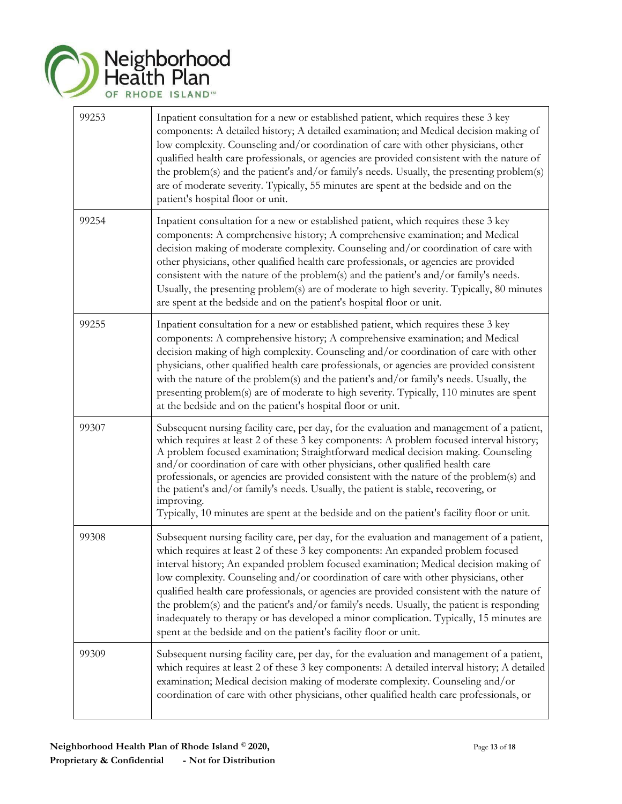

| 99253 | Inpatient consultation for a new or established patient, which requires these 3 key<br>components: A detailed history; A detailed examination; and Medical decision making of<br>low complexity. Counseling and/or coordination of care with other physicians, other<br>qualified health care professionals, or agencies are provided consistent with the nature of<br>the problem(s) and the patient's and/or family's needs. Usually, the presenting problem(s)<br>are of moderate severity. Typically, 55 minutes are spent at the bedside and on the<br>patient's hospital floor or unit.                                                                                                                                |
|-------|------------------------------------------------------------------------------------------------------------------------------------------------------------------------------------------------------------------------------------------------------------------------------------------------------------------------------------------------------------------------------------------------------------------------------------------------------------------------------------------------------------------------------------------------------------------------------------------------------------------------------------------------------------------------------------------------------------------------------|
| 99254 | Inpatient consultation for a new or established patient, which requires these 3 key<br>components: A comprehensive history; A comprehensive examination; and Medical<br>decision making of moderate complexity. Counseling and/or coordination of care with<br>other physicians, other qualified health care professionals, or agencies are provided<br>consistent with the nature of the problem(s) and the patient's and/or family's needs.<br>Usually, the presenting problem(s) are of moderate to high severity. Typically, 80 minutes<br>are spent at the bedside and on the patient's hospital floor or unit.                                                                                                         |
| 99255 | Inpatient consultation for a new or established patient, which requires these 3 key<br>components: A comprehensive history; A comprehensive examination; and Medical<br>decision making of high complexity. Counseling and/or coordination of care with other<br>physicians, other qualified health care professionals, or agencies are provided consistent<br>with the nature of the problem(s) and the patient's and/or family's needs. Usually, the<br>presenting problem(s) are of moderate to high severity. Typically, 110 minutes are spent<br>at the bedside and on the patient's hospital floor or unit.                                                                                                            |
| 99307 | Subsequent nursing facility care, per day, for the evaluation and management of a patient,<br>which requires at least 2 of these 3 key components: A problem focused interval history;<br>A problem focused examination; Straightforward medical decision making. Counseling<br>and/or coordination of care with other physicians, other qualified health care<br>professionals, or agencies are provided consistent with the nature of the problem(s) and<br>the patient's and/or family's needs. Usually, the patient is stable, recovering, or<br>improving.<br>Typically, 10 minutes are spent at the bedside and on the patient's facility floor or unit.                                                               |
| 99308 | Subsequent nursing facility care, per day, for the evaluation and management of a patient,<br>which requires at least 2 of these 3 key components: An expanded problem focused<br>interval history; An expanded problem focused examination; Medical decision making of<br>low complexity. Counseling and/or coordination of care with other physicians, other<br>qualified health care professionals, or agencies are provided consistent with the nature of<br>the problem(s) and the patient's and/or family's needs. Usually, the patient is responding<br>inadequately to therapy or has developed a minor complication. Typically, 15 minutes are<br>spent at the bedside and on the patient's facility floor or unit. |
| 99309 | Subsequent nursing facility care, per day, for the evaluation and management of a patient,<br>which requires at least 2 of these 3 key components: A detailed interval history; A detailed<br>examination; Medical decision making of moderate complexity. Counseling and/or<br>coordination of care with other physicians, other qualified health care professionals, or                                                                                                                                                                                                                                                                                                                                                    |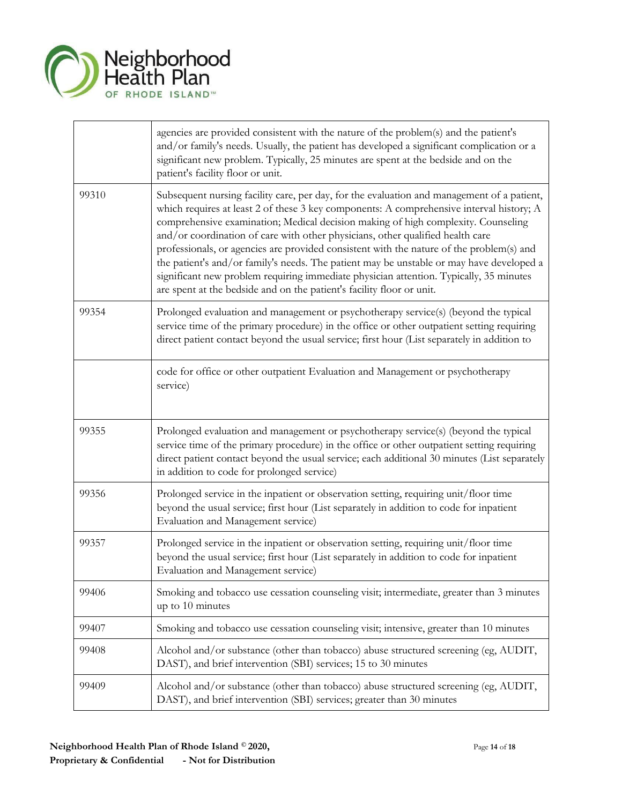

|       | agencies are provided consistent with the nature of the problem(s) and the patient's<br>and/or family's needs. Usually, the patient has developed a significant complication or a<br>significant new problem. Typically, 25 minutes are spent at the bedside and on the<br>patient's facility floor or unit.                                                                                                                                                                                                                                                                                                                                                                                                             |
|-------|--------------------------------------------------------------------------------------------------------------------------------------------------------------------------------------------------------------------------------------------------------------------------------------------------------------------------------------------------------------------------------------------------------------------------------------------------------------------------------------------------------------------------------------------------------------------------------------------------------------------------------------------------------------------------------------------------------------------------|
| 99310 | Subsequent nursing facility care, per day, for the evaluation and management of a patient,<br>which requires at least 2 of these 3 key components: A comprehensive interval history; A<br>comprehensive examination; Medical decision making of high complexity. Counseling<br>and/or coordination of care with other physicians, other qualified health care<br>professionals, or agencies are provided consistent with the nature of the problem(s) and<br>the patient's and/or family's needs. The patient may be unstable or may have developed a<br>significant new problem requiring immediate physician attention. Typically, 35 minutes<br>are spent at the bedside and on the patient's facility floor or unit. |
| 99354 | Prolonged evaluation and management or psychotherapy service(s) (beyond the typical<br>service time of the primary procedure) in the office or other outpatient setting requiring<br>direct patient contact beyond the usual service; first hour (List separately in addition to                                                                                                                                                                                                                                                                                                                                                                                                                                         |
|       | code for office or other outpatient Evaluation and Management or psychotherapy<br>service)                                                                                                                                                                                                                                                                                                                                                                                                                                                                                                                                                                                                                               |
| 99355 | Prolonged evaluation and management or psychotherapy service(s) (beyond the typical<br>service time of the primary procedure) in the office or other outpatient setting requiring<br>direct patient contact beyond the usual service; each additional 30 minutes (List separately<br>in addition to code for prolonged service)                                                                                                                                                                                                                                                                                                                                                                                          |
| 99356 | Prolonged service in the inpatient or observation setting, requiring unit/floor time<br>beyond the usual service; first hour (List separately in addition to code for inpatient<br>Evaluation and Management service)                                                                                                                                                                                                                                                                                                                                                                                                                                                                                                    |
| 99357 | Prolonged service in the inpatient or observation setting, requiring unit/floor time<br>beyond the usual service; first hour (List separately in addition to code for inpatient<br>Evaluation and Management service)                                                                                                                                                                                                                                                                                                                                                                                                                                                                                                    |
| 99406 | Smoking and tobacco use cessation counseling visit; intermediate, greater than 3 minutes<br>up to 10 minutes                                                                                                                                                                                                                                                                                                                                                                                                                                                                                                                                                                                                             |
| 99407 | Smoking and tobacco use cessation counseling visit; intensive, greater than 10 minutes                                                                                                                                                                                                                                                                                                                                                                                                                                                                                                                                                                                                                                   |
| 99408 | Alcohol and/or substance (other than tobacco) abuse structured screening (eg, AUDIT,<br>DAST), and brief intervention (SBI) services; 15 to 30 minutes                                                                                                                                                                                                                                                                                                                                                                                                                                                                                                                                                                   |
| 99409 | Alcohol and/or substance (other than tobacco) abuse structured screening (eg, AUDIT,<br>DAST), and brief intervention (SBI) services; greater than 30 minutes                                                                                                                                                                                                                                                                                                                                                                                                                                                                                                                                                            |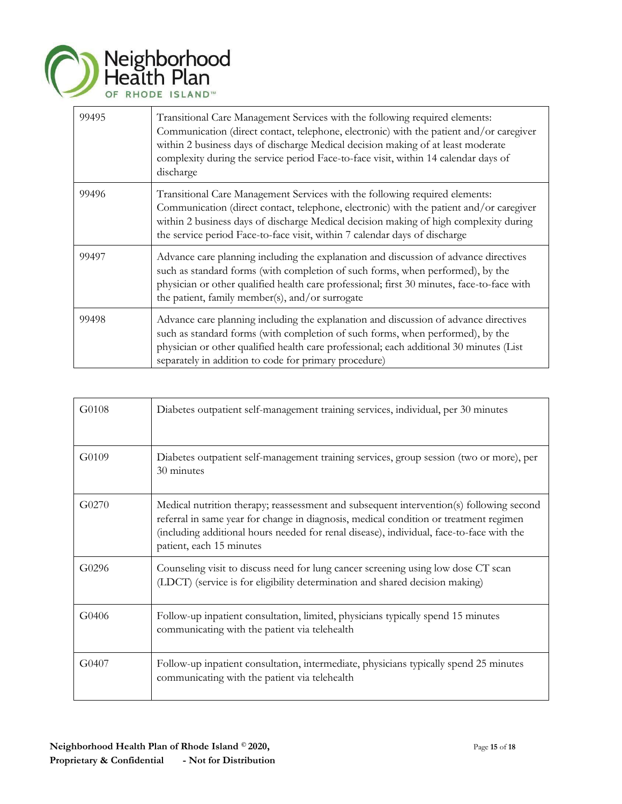

| 99495 | Transitional Care Management Services with the following required elements:<br>Communication (direct contact, telephone, electronic) with the patient and/or caregiver<br>within 2 business days of discharge Medical decision making of at least moderate<br>complexity during the service period Face-to-face visit, within 14 calendar days of<br>discharge |
|-------|----------------------------------------------------------------------------------------------------------------------------------------------------------------------------------------------------------------------------------------------------------------------------------------------------------------------------------------------------------------|
| 99496 | Transitional Care Management Services with the following required elements:<br>Communication (direct contact, telephone, electronic) with the patient and/or caregiver<br>within 2 business days of discharge Medical decision making of high complexity during<br>the service period Face-to-face visit, within 7 calendar days of discharge                  |
| 99497 | Advance care planning including the explanation and discussion of advance directives<br>such as standard forms (with completion of such forms, when performed), by the<br>physician or other qualified health care professional; first 30 minutes, face-to-face with<br>the patient, family member(s), and/or surrogate                                        |
| 99498 | Advance care planning including the explanation and discussion of advance directives<br>such as standard forms (with completion of such forms, when performed), by the<br>physician or other qualified health care professional; each additional 30 minutes (List<br>separately in addition to code for primary procedure)                                     |

| G0108 | Diabetes outpatient self-management training services, individual, per 30 minutes                                                                                                                                                                                                                        |
|-------|----------------------------------------------------------------------------------------------------------------------------------------------------------------------------------------------------------------------------------------------------------------------------------------------------------|
| G0109 | Diabetes outpatient self-management training services, group session (two or more), per<br>30 minutes                                                                                                                                                                                                    |
| G0270 | Medical nutrition therapy; reassessment and subsequent intervention(s) following second<br>referral in same year for change in diagnosis, medical condition or treatment regimen<br>(including additional hours needed for renal disease), individual, face-to-face with the<br>patient, each 15 minutes |
| G0296 | Counseling visit to discuss need for lung cancer screening using low dose CT scan<br>(LDCT) (service is for eligibility determination and shared decision making)                                                                                                                                        |
| G0406 | Follow-up inpatient consultation, limited, physicians typically spend 15 minutes<br>communicating with the patient via telehealth                                                                                                                                                                        |
| G0407 | Follow-up inpatient consultation, intermediate, physicians typically spend 25 minutes<br>communicating with the patient via telehealth                                                                                                                                                                   |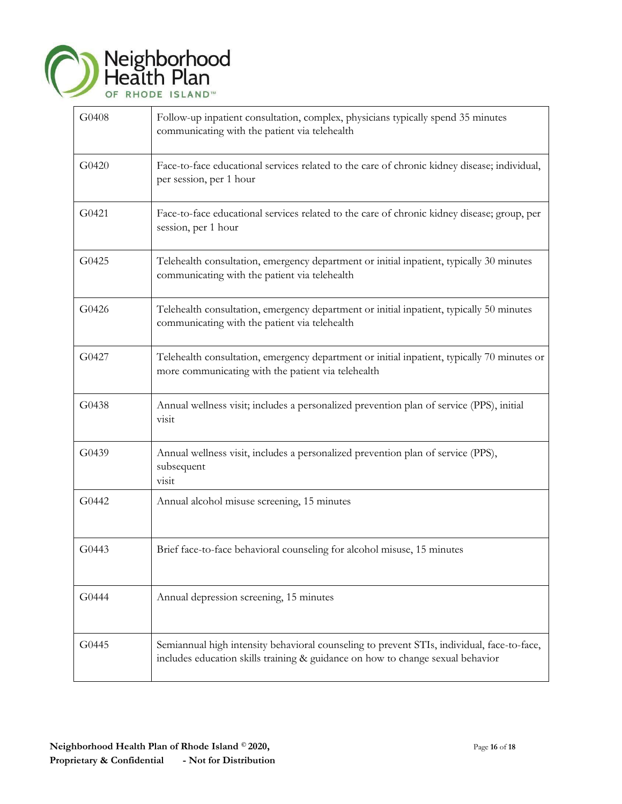

| G0408 | Follow-up inpatient consultation, complex, physicians typically spend 35 minutes<br>communicating with the patient via telehealth                                            |
|-------|------------------------------------------------------------------------------------------------------------------------------------------------------------------------------|
| G0420 | Face-to-face educational services related to the care of chronic kidney disease; individual,<br>per session, per 1 hour                                                      |
| G0421 | Face-to-face educational services related to the care of chronic kidney disease; group, per<br>session, per 1 hour                                                           |
| G0425 | Telehealth consultation, emergency department or initial inpatient, typically 30 minutes<br>communicating with the patient via telehealth                                    |
| G0426 | Telehealth consultation, emergency department or initial inpatient, typically 50 minutes<br>communicating with the patient via telehealth                                    |
| G0427 | Telehealth consultation, emergency department or initial inpatient, typically 70 minutes or<br>more communicating with the patient via telehealth                            |
| G0438 | Annual wellness visit; includes a personalized prevention plan of service (PPS), initial<br>visit                                                                            |
| G0439 | Annual wellness visit, includes a personalized prevention plan of service (PPS),<br>subsequent<br>visit                                                                      |
| G0442 | Annual alcohol misuse screening, 15 minutes                                                                                                                                  |
| G0443 | Brief face-to-face behavioral counseling for alcohol misuse, 15 minutes                                                                                                      |
| G0444 | Annual depression screening, 15 minutes                                                                                                                                      |
| G0445 | Semiannual high intensity behavioral counseling to prevent STIs, individual, face-to-face,<br>includes education skills training & guidance on how to change sexual behavior |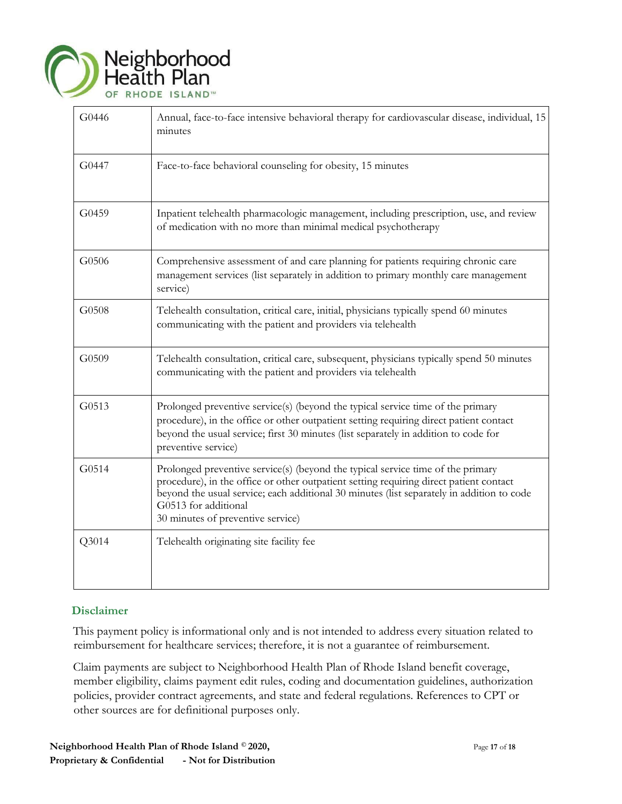

| G0446 | Annual, face-to-face intensive behavioral therapy for cardiovascular disease, individual, 15<br>minutes                                                                                                                                                                                                                             |
|-------|-------------------------------------------------------------------------------------------------------------------------------------------------------------------------------------------------------------------------------------------------------------------------------------------------------------------------------------|
| G0447 | Face-to-face behavioral counseling for obesity, 15 minutes                                                                                                                                                                                                                                                                          |
| G0459 | Inpatient telehealth pharmacologic management, including prescription, use, and review<br>of medication with no more than minimal medical psychotherapy                                                                                                                                                                             |
| G0506 | Comprehensive assessment of and care planning for patients requiring chronic care<br>management services (list separately in addition to primary monthly care management<br>service)                                                                                                                                                |
| G0508 | Telehealth consultation, critical care, initial, physicians typically spend 60 minutes<br>communicating with the patient and providers via telehealth                                                                                                                                                                               |
| G0509 | Telehealth consultation, critical care, subsequent, physicians typically spend 50 minutes<br>communicating with the patient and providers via telehealth                                                                                                                                                                            |
| G0513 | Prolonged preventive service(s) (beyond the typical service time of the primary<br>procedure), in the office or other outpatient setting requiring direct patient contact<br>beyond the usual service; first 30 minutes (list separately in addition to code for<br>preventive service)                                             |
| G0514 | Prolonged preventive service(s) (beyond the typical service time of the primary<br>procedure), in the office or other outpatient setting requiring direct patient contact<br>beyond the usual service; each additional 30 minutes (list separately in addition to code<br>G0513 for additional<br>30 minutes of preventive service) |
| Q3014 | Telehealth originating site facility fee                                                                                                                                                                                                                                                                                            |

## **Disclaimer**

This payment policy is informational only and is not intended to address every situation related to reimbursement for healthcare services; therefore, it is not a guarantee of reimbursement.

Claim payments are subject to Neighborhood Health Plan of Rhode Island benefit coverage, member eligibility, claims payment edit rules, coding and documentation guidelines, authorization policies, provider contract agreements, and state and federal regulations. References to CPT or other sources are for definitional purposes only.